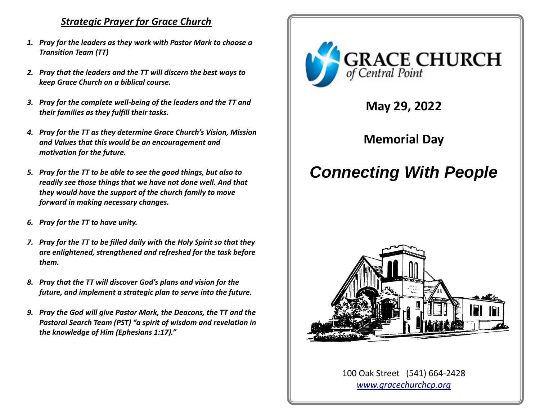# *Strategic Prayer for Grace Church*

- *1. Pray for the leaders as they work with Pastor Mark to choose a Transition Team (TT)*
- *2. Pray that the leaders and the TT will discern the best ways to keep Grace Church on a biblical course.*
- *3. Pray for the complete well-being of the leaders and the TT and their families as they fulfill their tasks.*
- *4. Pray for the TT as they determine Grace Church's Vision, Mission and Values that this would be an encouragement and motivation for the future.*
- *5. Pray for the TT to be able to see the good things, but also to readily see those things that we have not done well. And that they would have the support of the church family to move forward in making necessary changes.*
- *6. Pray for the TT to have unity.*
- *7. Pray for the TT to be filled daily with the Holy Spirit so that they are enlightened, strengthened and refreshed for the task before them.*
- *8. Pray that the TT will discover God's plans and vision for the future, and implement a strategic plan to serve into the future.*
- *9. Pray the God will give Pastor Mark, the Deacons, the TT and the Pastoral Search Team (PST) "a spirit of wisdom and revelation in the knowledge of Him (Ephesians 1:17)."*



**May 29, 2022**

**Memorial Day**

# *Connecting With People*



100 Oak Street (541) 664-2428 *[www.gracechurchcp.org](http://www.gracechurchcp.org/)*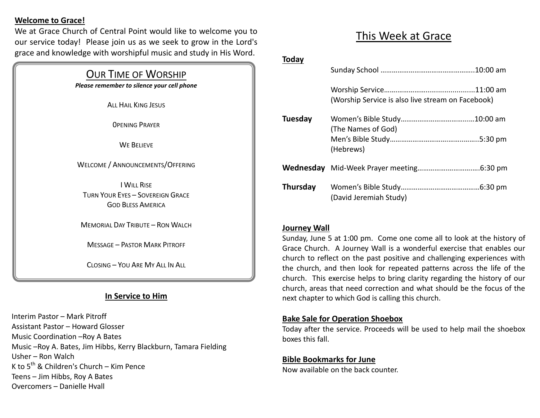### **Welcome to Grace!**

We at Grace Church of Central Point would like to welcome you to our service today! Please join us as we seek to grow in the Lord's grace and knowledge with worshipful music and study in His Word.

### OUR TIME OF WORSHIP

*Please remember to silence your cell phone*

**ALL HAIL KING JESUS** 

0PENING PRAYER

WE BELIEVE

### WELCOME / ANNOUNCEMENTS/OFFERING

I WILL RISE TURN YOUR EYES – SOVEREIGN GRACE GOD BLESS AMERICA

MEMORIAL DAY TRIBUTE – RON WALCH

MESSAGE – PASTOR MARK PITROFF

CLOSING – YOU ARE MY ALL IN ALL

## **In Service to Him**

Interim Pastor – Mark Pitroff Assistant Pastor – Howard Glosser Music Coordination –Roy A Bates Music –Roy A. Bates, Jim Hibbs, Kerry Blackburn, Tamara Fielding Usher – Ron Walch K to  $5^{th}$  & Children's Church – Kim Pence Teens – Jim Hibbs, Roy A Bates Overcomers – Danielle Hvall

# This Week at Grace

### **Today**

|          | (Worship Service is also live stream on Facebook) |  |
|----------|---------------------------------------------------|--|
| Tuesday  | (The Names of God)                                |  |
|          | (Hebrews)                                         |  |
|          |                                                   |  |
| Thursday | (David Jeremiah Study)                            |  |

### **Journey Wall**

Sunday, June 5 at 1:00 pm. Come one come all to look at the history of Grace Church. A Journey Wall is a wonderful exercise that enables our church to reflect on the past positive and challenging experiences with the church, and then look for repeated patterns across the life of the church. This exercise helps to bring clarity regarding the history of our church, areas that need correction and what should be the focus of the next chapter to which God is calling this church.

### **Bake Sale for Operation Shoebox**

Today after the service. Proceeds will be used to help mail the shoebox boxes this fall.

#### **Bible Bookmarks for June**

Now available on the back counter.